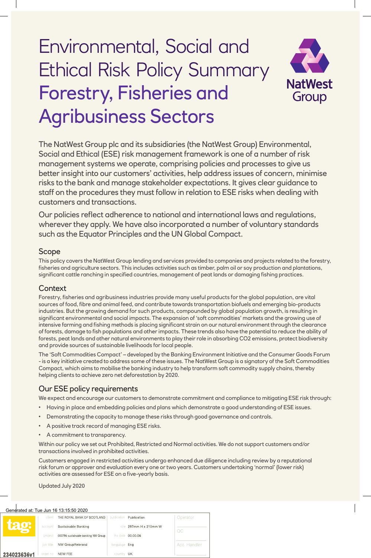# Environmental, Social and Ethical Risk Policy Summary Forestry, Fisheries and Agribusiness Sectors



The NatWest Group plc and its subsidiaries (the NatWest Group) Environmental, Social and Ethical (ESE) risk management framework is one of a number of risk management systems we operate, comprising policies and processes to give us better insight into our customers' activities, help address issues of concern, minimise risks to the bank and manage stakeholder expectations. It gives clear guidance to staff on the procedures they must follow in relation to ESE risks when dealing with customers and transactions.

Our policies reflect adherence to national and international laws and regulations, wherever they apply. We have also incorporated a number of voluntary standards such as the Equator Principles and the UN Global Compact.

## Scope

This policy covers the NatWest Group lending and services provided to companies and projects related to the forestry, fisheries and agriculture sectors. This includes activities such as timber, palm oil or soy production and plantations, significant cattle ranching in specified countries, management of peat lands or damaging fishing practices.

## **Context**

Forestry, fisheries and agribusiness industries provide many useful products for the global population, are vital sources of food, fibre and animal feed, and contribute towards transportation biofuels and emerging bio-products industries. But the growing demand for such products, compounded by global population growth, is resulting in significant environmental and social impacts. The expansion of 'soft commodities' markets and the growing use of intensive farming and fishing methods is placing significant strain on our natural environment through the clearance of forests, damage to fish populations and other impacts. These trends also have the potential to reduce the ability of forests, peat lands and other natural environments to play their role in absorbing CO2 emissions, protect biodiversity and provide sources of sustainable livelihoods for local people.

The 'Soft Commodities Compact' – developed by the Banking Environment Initiative and the Consumer Goods Forum - is a key initiative created to address some of these issues. The NatWest Group is a signatory of the Soft Commodities Compact, which aims to mobilise the banking industry to help transform soft commodity supply chains, thereby helping clients to achieve zero net deforestation by 2020.

## Our ESE policy requirements

We expect and encourage our customers to demonstrate commitment and compliance to mitigating ESE risk through:

- Having in place and embedding policies and plans which demonstrate a good understanding of ESE issues.
- Demonstrating the capacity to manage these risks through good governance and controls.
- A positive track record of managing ESE risks.
- A commitment to transparency.

Within our policy we set out Prohibited, Restricted and Normal activities. We do not support customers and/or transactions involved in prohibited activities.

Customers engaged in restricted activities undergo enhanced due diligence including review by a reputational risk forum or approver and evaluation every one or two years. Customers undertaking 'normal' (lower risk) activities are assessed for ESE on a five-yearly basis.

Updated July 2020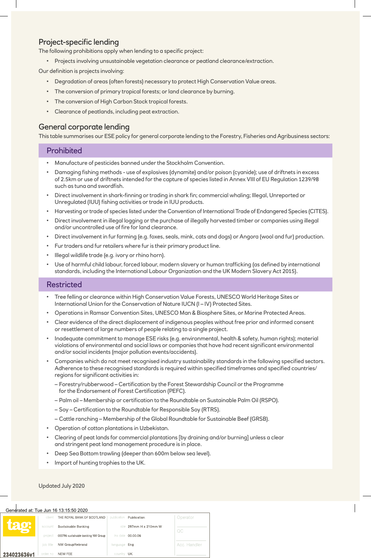# Project-specific lending

The following prohibitions apply when lending to a specific project:

• Projects involving unsustainable vegetation clearance or peatland clearance/extraction.

Our definition is projects involving:

- Degradation of areas (often forests) necessary to protect High Conservation Value areas.
- The conversion of primary tropical forests; or land clearance by burning.
- The conversion of High Carbon Stock tropical forests.
- Clearance of peatlands, including peat extraction.

## General corporate lending

This table summarises our ESE policy for general corporate lending to the Forestry, Fisheries and Agribusiness sectors:

#### **Prohibited**

- Manufacture of pesticides banned under the Stockholm Convention.
- Damaging fishing methods use of explosives (dynamite) and/or poison (cyanide); use of driftnets in excess of 2.5km or use of driftnets intended for the capture of species listed in Annex VIII of EU Regulation 1239/98 such as tuna and swordfish.
- Direct involvement in shark-finning or trading in shark fin; commercial whaling; Illegal, Unreported or Unregulated (IUU) fishing activities or trade in IUU products.
- Harvesting or trade of species listed under the Convention of International Trade of Endangered Species (CITES).
- Direct involvement in illegal logging or the purchase of illegally harvested timber or companies using illegal and/or uncontrolled use of fire for land clearance.
- Direct involvement in fur farming (e.g. foxes, seals, mink, cats and dogs) or Angora (wool and fur) production.
- Fur traders and fur retailers where fur is their primary product line.
- Illegal wildlife trade (e.g. ivory or rhino horn).
- Use of harmful child labour, forced labour, modern slavery or human trafficking (as defined by international standards, including the International Labour Organization and the UK Modern Slavery Act 2015).

### **Restricted**

- Tree felling or clearance within High Conservation Value Forests, UNESCO World Heritage Sites or International Union for the Conservation of Nature IUCN (I – IV) Protected Sites.
- Operations in Ramsar Convention Sites, UNESCO Man & Biosphere Sites, or Marine Protected Areas.
- Clear evidence of the direct displacement of indigenous peoples without free prior and informed consent or resettlement of large numbers of people relating to a single project.
- Inadequate commitment to manage ESE risks (e.g. environmental, health & safety, human rights); material violations of environmental and social laws or companies that have had recent significant environmental and/or social incidents (major pollution events/accidents).
- Companies which do not meet recognised industry sustainability standards in the following specified sectors. Adherence to these recognised standards is required within specified timeframes and specified countries/ regions for significant activities in:
	- Forestry/rubberwood Certification by the Forest Stewardship Council or the Programme for the Endorsement of Forest Certification (PEFC).
	- Palm oil Membership or certification to the Roundtable on Sustainable Palm Oil (RSPO).
	- Soy Certification to the Roundtable for Responsible Soy (RTRS).
	- Cattle ranching Membership of the Global Roundtable for Sustainable Beef (GRSB).
- Operation of cotton plantations in Uzbekistan.
- Clearing of peat lands for commercial plantations [by draining and/or burning] unless a clear and stringent peat land management procedure is in place.
- Deep Sea Bottom trawling (deeper than 600m below sea level).
- Import of hunting trophies to the UK.